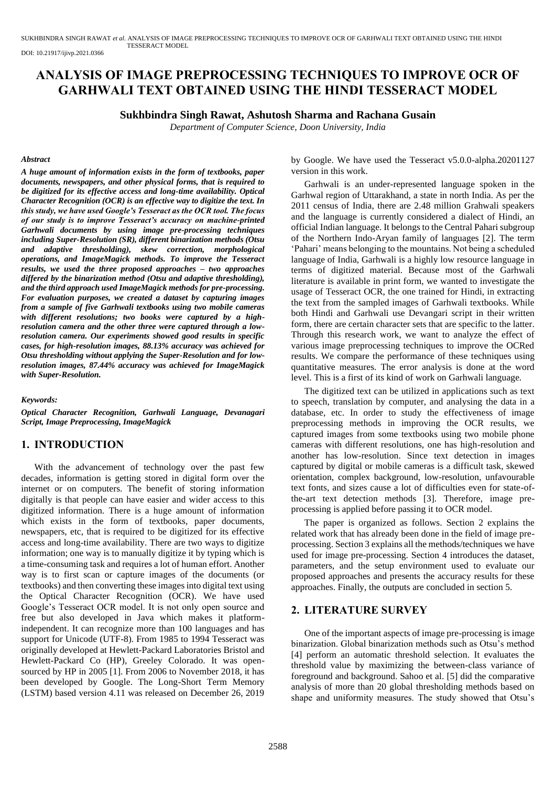SUKHBINDRA SINGH RAWAT *et al*. ANALYSIS OF IMAGE PREPROCESSING TECHNIQUES TO IMPROVE OCR OF GARHWALI TEXT OBTAINED USING THE HINDI TESSERACT MODEL

DOI: 10.21917/ijivp.2021.0366

# **ANALYSIS OF IMAGE PREPROCESSING TECHNIQUES TO IMPROVE OCR OF GARHWALI TEXT OBTAINED USING THE HINDI TESSERACT MODEL**

## **Sukhbindra Singh Rawat, Ashutosh Sharma and Rachana Gusain**

*Department of Computer Science, Doon University, India*

#### *Abstract*

*A huge amount of information exists in the form of textbooks, paper documents, newspapers, and other physical forms, that is required to be digitized for its effective access and long-time availability. Optical Character Recognition (OCR) is an effective way to digitize the text. In this study, we have used Google's Tesseract as the OCR tool. The focus of our study is to improve Tesseract's accuracy on machine-printed Garhwali documents by using image pre-processing techniques including Super-Resolution (SR), different binarization methods (Otsu and adaptive thresholding), skew correction, morphological operations, and ImageMagick methods. To improve the Tesseract results, we used the three proposed approaches – two approaches differed by the binarization method (Otsu and adaptive thresholding), and the third approach used ImageMagick methods for pre-processing. For evaluation purposes, we created a dataset by capturing images from a sample of five Garhwali textbooks using two mobile cameras with different resolutions; two books were captured by a highresolution camera and the other three were captured through a lowresolution camera. Our experiments showed good results in specific cases, for high-resolution images, 88.13% accuracy was achieved for Otsu thresholding without applying the Super-Resolution and for lowresolution images, 87.44% accuracy was achieved for ImageMagick with Super-Resolution.*

#### *Keywords:*

*Optical Character Recognition, Garhwali Language, Devanagari Script, Image Preprocessing, ImageMagick*

# **1. INTRODUCTION**

With the advancement of technology over the past few decades, information is getting stored in digital form over the internet or on computers. The benefit of storing information digitally is that people can have easier and wider access to this digitized information. There is a huge amount of information which exists in the form of textbooks, paper documents, newspapers, etc, that is required to be digitized for its effective access and long-time availability. There are two ways to digitize information; one way is to manually digitize it by typing which is a time-consuming task and requires a lot of human effort. Another way is to first scan or capture images of the documents (or textbooks) and then converting these images into digital text using the Optical Character Recognition (OCR). We have used Google's Tesseract OCR model. It is not only open source and free but also developed in Java which makes it platformindependent. It can recognize more than 100 languages and has support for Unicode (UTF-8). From 1985 to 1994 Tesseract was originally developed at Hewlett-Packard Laboratories Bristol and Hewlett-Packard Co (HP), Greeley Colorado. It was opensourced by HP in 2005 [1]. From 2006 to November 2018, it has been developed by Google. The Long-Short Term Memory (LSTM) based version 4.11 was released on December 26, 2019 by Google. We have used the Tesseract v5.0.0-alpha.20201127 version in this work.

Garhwali is an under-represented language spoken in the Garhwal region of Uttarakhand, a state in north India. As per the 2011 census of India, there are 2.48 million Grahwali speakers and the language is currently considered a dialect of Hindi, an official Indian language. It belongs to the Central Pahari subgroup of the Northern Indo-Aryan family of languages [2]. The term 'Pahari' means belonging to the mountains. Not being a scheduled language of India, Garhwali is a highly low resource language in terms of digitized material. Because most of the Garhwali literature is available in print form, we wanted to investigate the usage of Tesseract OCR, the one trained for Hindi, in extracting the text from the sampled images of Garhwali textbooks. While both Hindi and Garhwali use Devangari script in their written form, there are certain character sets that are specific to the latter. Through this research work, we want to analyze the effect of various image preprocessing techniques to improve the OCRed results. We compare the performance of these techniques using quantitative measures. The error analysis is done at the word level. This is a first of its kind of work on Garhwali language.

The digitized text can be utilized in applications such as text to speech, translation by computer, and analysing the data in a database, etc. In order to study the effectiveness of image preprocessing methods in improving the OCR results, we captured images from some textbooks using two mobile phone cameras with different resolutions, one has high-resolution and another has low-resolution. Since text detection in images captured by digital or mobile cameras is a difficult task, skewed orientation, complex background, low-resolution, unfavourable text fonts, and sizes cause a lot of difficulties even for state-ofthe-art text detection methods [3]. Therefore, image preprocessing is applied before passing it to OCR model.

The paper is organized as follows. Section 2 explains the related work that has already been done in the field of image preprocessing. Section 3 explains all the methods/techniques we have used for image pre-processing. Section 4 introduces the dataset, parameters, and the setup environment used to evaluate our proposed approaches and presents the accuracy results for these approaches. Finally, the outputs are concluded in section 5.

# **2. LITERATURE SURVEY**

One of the important aspects of image pre-processing is image binarization. Global binarization methods such as Otsu's method [4] perform an automatic threshold selection. It evaluates the threshold value by maximizing the between-class variance of foreground and background. Sahoo et al. [5] did the comparative analysis of more than 20 global thresholding methods based on shape and uniformity measures. The study showed that Otsu's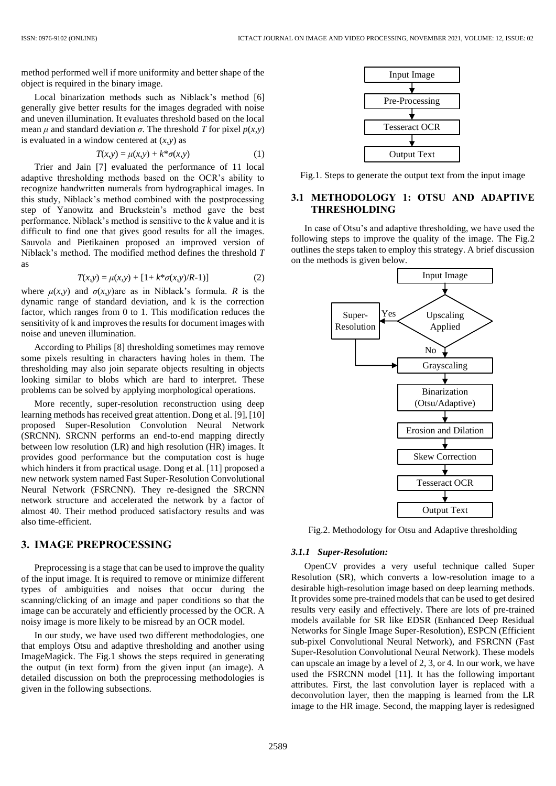method performed well if more uniformity and better shape of the object is required in the binary image.

Local binarization methods such as Niblack's method [6] generally give better results for the images degraded with noise and uneven illumination. It evaluates threshold based on the local mean  $\mu$  and standard deviation  $\sigma$ . The threshold *T* for pixel  $p(x, y)$ is evaluated in a window centered at  $(x, y)$  as

$$
T(x,y) = \mu(x,y) + k^* \sigma(x,y) \tag{1}
$$

Trier and Jain [7] evaluated the performance of 11 local adaptive thresholding methods based on the OCR's ability to recognize handwritten numerals from hydrographical images. In this study, Niblack's method combined with the postprocessing step of Yanowitz and Bruckstein's method gave the best performance. Niblack's method is sensitive to the *k* value and it is difficult to find one that gives good results for all the images. Sauvola and Pietikainen proposed an improved version of Niblack's method. The modified method defines the threshold *T*  as

$$
T(x,y) = \mu(x,y) + [1 + k^* \sigma(x,y)/R-1)] \tag{2}
$$

where  $\mu(x, y)$  and  $\sigma(x, y)$ are as in Niblack's formula. *R* is the dynamic range of standard deviation, and k is the correction factor, which ranges from 0 to 1. This modification reduces the sensitivity of k and improves the results for document images with noise and uneven illumination.

According to Philips [8] thresholding sometimes may remove some pixels resulting in characters having holes in them. The thresholding may also join separate objects resulting in objects looking similar to blobs which are hard to interpret. These problems can be solved by applying morphological operations.

More recently, super-resolution reconstruction using deep learning methods has received great attention. Dong et al. [9], [10] proposed Super-Resolution Convolution Neural Network (SRCNN). SRCNN performs an end-to-end mapping directly between low resolution (LR) and high resolution (HR) images. It provides good performance but the computation cost is huge which hinders it from practical usage. Dong et al. [11] proposed a new network system named Fast Super-Resolution Convolutional Neural Network (FSRCNN). They re-designed the SRCNN network structure and accelerated the network by a factor of almost 40. Their method produced satisfactory results and was also time-efficient.

# **3. IMAGE PREPROCESSING**

Preprocessing is a stage that can be used to improve the quality of the input image. It is required to remove or minimize different types of ambiguities and noises that occur during the scanning/clicking of an image and paper conditions so that the image can be accurately and efficiently processed by the OCR. A noisy image is more likely to be misread by an OCR model.

In our study, we have used two different methodologies, one that employs Otsu and adaptive thresholding and another using ImageMagick. The Fig.1 shows the steps required in generating the output (in text form) from the given input (an image). A detailed discussion on both the preprocessing methodologies is given in the following subsections.



Fig.1. Steps to generate the output text from the input image

## **3.1 METHODOLOGY 1: OTSU AND ADAPTIVE THRESHOLDING**

In case of Otsu's and adaptive thresholding, we have used the following steps to improve the quality of the image. The Fig.2 outlines the steps taken to employ this strategy. A brief discussion on the methods is given below.



Fig.2. Methodology for Otsu and Adaptive thresholding

#### *3.1.1 Super-Resolution:*

OpenCV provides a very useful technique called Super Resolution (SR), which converts a low-resolution image to a desirable high-resolution image based on deep learning methods. It provides some pre-trained models that can be used to get desired results very easily and effectively. There are lots of pre-trained models available for SR like EDSR (Enhanced Deep Residual Networks for Single Image Super-Resolution), ESPCN (Efficient sub-pixel Convolutional Neural Network), and FSRCNN (Fast Super-Resolution Convolutional Neural Network). These models can upscale an image by a level of 2, 3, or 4. In our work, we have used the FSRCNN model [11]. It has the following important attributes. First, the last convolution layer is replaced with a deconvolution layer, then the mapping is learned from the LR image to the HR image. Second, the mapping layer is redesigned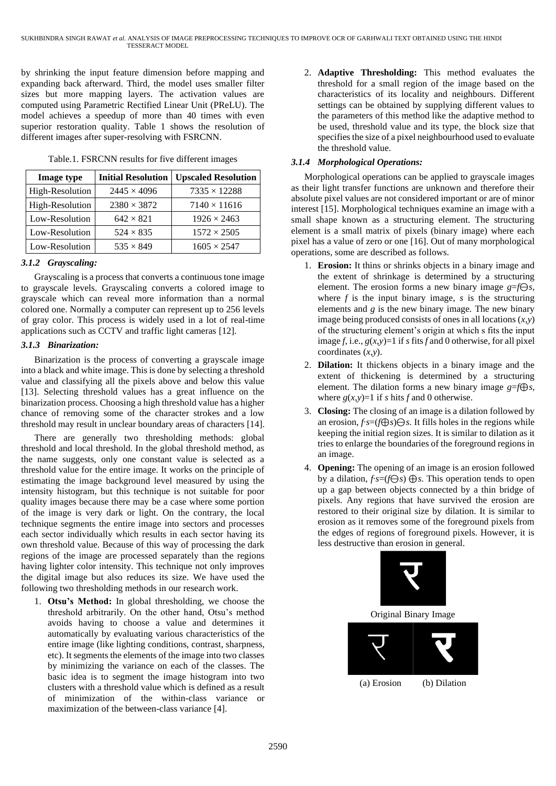by shrinking the input feature dimension before mapping and expanding back afterward. Third, the model uses smaller filter sizes but more mapping layers. The activation values are computed using Parametric Rectified Linear Unit (PReLU). The model achieves a speedup of more than 40 times with even superior restoration quality. Table 1 shows the resolution of different images after super-resolving with FSRCNN.

| <b>Image type</b> | <b>Initial Resolution</b> | <b>Upscaled Resolution</b> |
|-------------------|---------------------------|----------------------------|
| High-Resolution   | $2445 \times 4096$        | $7335 \times 12288$        |
| High-Resolution   | $2380 \times 3872$        | $7140 \times 11616$        |
| Low-Resolution    | $642 \times 821$          | $1926 \times 2463$         |
| Low-Resolution    | $524 \times 835$          | $1572 \times 2505$         |
| Low-Resolution    | $535 \times 849$          | $1605 \times 2547$         |

Table.1. FSRCNN results for five different images

#### *3.1.2 Grayscaling:*

Grayscaling is a process that converts a continuous tone image to grayscale levels. Grayscaling converts a colored image to grayscale which can reveal more information than a normal colored one. Normally a computer can represent up to 256 levels of gray color. This process is widely used in a lot of real-time applications such as CCTV and traffic light cameras [12].

#### *3.1.3 Binarization:*

Binarization is the process of converting a grayscale image into a black and white image. This is done by selecting a threshold value and classifying all the pixels above and below this value [13]. Selecting threshold values has a great influence on the binarization process. Choosing a high threshold value has a higher chance of removing some of the character strokes and a low threshold may result in unclear boundary areas of characters [14].

There are generally two thresholding methods: global threshold and local threshold. In the global threshold method, as the name suggests, only one constant value is selected as a threshold value for the entire image. It works on the principle of estimating the image background level measured by using the intensity histogram, but this technique is not suitable for poor quality images because there may be a case where some portion of the image is very dark or light. On the contrary, the local technique segments the entire image into sectors and processes each sector individually which results in each sector having its own threshold value. Because of this way of processing the dark regions of the image are processed separately than the regions having lighter color intensity. This technique not only improves the digital image but also reduces its size. We have used the following two thresholding methods in our research work.

1. **Otsu's Method:** In global thresholding, we choose the threshold arbitrarily. On the other hand, Otsu's method avoids having to choose a value and determines it automatically by evaluating various characteristics of the entire image (like lighting conditions, contrast, sharpness, etc). It segments the elements of the image into two classes by minimizing the variance on each of the classes. The basic idea is to segment the image histogram into two clusters with a threshold value which is defined as a result of minimization of the within-class variance or maximization of the between-class variance [4].

2. **Adaptive Thresholding:** This method evaluates the threshold for a small region of the image based on the characteristics of its locality and neighbours. Different settings can be obtained by supplying different values to the parameters of this method like the adaptive method to be used, threshold value and its type, the block size that specifies the size of a pixel neighbourhood used to evaluate the threshold value.

#### *3.1.4 Morphological Operations:*

Morphological operations can be applied to grayscale images as their light transfer functions are unknown and therefore their absolute pixel values are not considered important or are of minor interest [15]. Morphological techniques examine an image with a small shape known as a structuring element. The structuring element is a small matrix of pixels (binary image) where each pixel has a value of zero or one [16]. Out of many morphological operations, some are described as follows.

- 1. **Erosion:** It thins or shrinks objects in a binary image and the extent of shrinkage is determined by a structuring element. The erosion forms a new binary image  $g=f\Theta s$ , where  $f$  is the input binary image,  $s$  is the structuring elements and *g* is the new binary image. The new binary image being produced consists of ones in all locations (*x*,*y*) of the structuring element's origin at which s fits the input image  $f$ , i.e.,  $g(x,y)=1$  if  $s$  fits  $f$  and  $0$  otherwise, for all pixel coordinates (*x*,*y*).
- 2. **Dilation:** It thickens objects in a binary image and the extent of thickening is determined by a structuring element. The dilation forms a new binary image  $g=f\oplus s$ , where  $g(x, y)=1$  if *s* hits *f* and 0 otherwise.
- 3. **Closing:** The closing of an image is a dilation followed by an erosion, *f*∙*s*=(*f*⊕*s*)⊖*s*. It fills holes in the regions while keeping the initial region sizes. It is similar to dilation as it tries to enlarge the boundaries of the foreground regions in an image.
- 4. **Opening:** The opening of an image is an erosion followed by a dilation, *f*∙*s*=(*f*⊖*s*) ⊕*s*. This operation tends to open up a gap between objects connected by a thin bridge of pixels. Any regions that have survived the erosion are restored to their original size by dilation. It is similar to erosion as it removes some of the foreground pixels from the edges of regions of foreground pixels. However, it is less destructive than erosion in general.

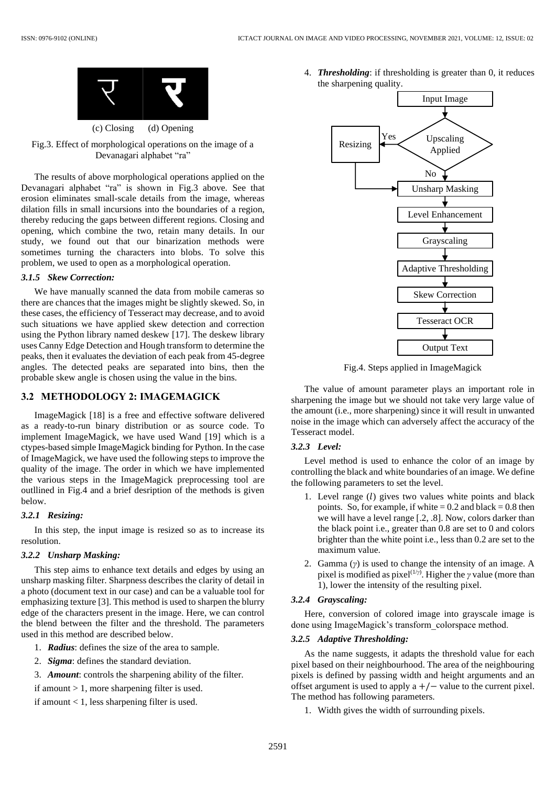

(c) Closing (d) Opening

Fig.3. Effect of morphological operations on the image of a Devanagari alphabet "ra"

The results of above morphological operations applied on the Devanagari alphabet "ra" is shown in Fig.3 above. See that erosion eliminates small-scale details from the image, whereas dilation fills in small incursions into the boundaries of a region, thereby reducing the gaps between different regions. Closing and opening, which combine the two, retain many details. In our study, we found out that our binarization methods were sometimes turning the characters into blobs. To solve this problem, we used to open as a morphological operation.

#### *3.1.5 Skew Correction:*

We have manually scanned the data from mobile cameras so there are chances that the images might be slightly skewed. So, in these cases, the efficiency of Tesseract may decrease, and to avoid such situations we have applied skew detection and correction using the Python library named deskew [17]. The deskew library uses Canny Edge Detection and Hough transform to determine the peaks, then it evaluates the deviation of each peak from 45-degree angles. The detected peaks are separated into bins, then the probable skew angle is chosen using the value in the bins.

# **3.2 METHODOLOGY 2: IMAGEMAGICK**

ImageMagick [18] is a free and effective software delivered as a ready-to-run binary distribution or as source code. To implement ImageMagick, we have used Wand [19] which is a ctypes-based simple ImageMagick binding for Python. In the case of ImageMagick, we have used the following steps to improve the quality of the image. The order in which we have implemented the various steps in the ImageMagick preprocessing tool are outllined in Fig.4 and a brief desription of the methods is given below.

#### *3.2.1 Resizing:*

In this step, the input image is resized so as to increase its resolution.

### *3.2.2 Unsharp Masking:*

This step aims to enhance text details and edges by using an unsharp masking filter. Sharpness describes the clarity of detail in a photo (document text in our case) and can be a valuable tool for emphasizing texture [3]. This method is used to sharpen the blurry edge of the characters present in the image. Here, we can control the blend between the filter and the threshold. The parameters used in this method are described below.

- 1. *Radius*: defines the size of the area to sample.
- 2. *Sigma*: defines the standard deviation.
- 3. *Amount*: controls the sharpening ability of the filter.
- if amount > 1, more sharpening filter is used.

if amount  $< 1$ , less sharpening filter is used.

4. *Thresholding*: if thresholding is greater than 0, it reduces the sharpening quality.



Fig.4. Steps applied in ImageMagick

The value of amount parameter plays an important role in sharpening the image but we should not take very large value of the amount (i.e., more sharpening) since it will result in unwanted noise in the image which can adversely affect the accuracy of the Tesseract model.

#### *3.2.3 Level:*

Level method is used to enhance the color of an image by controlling the black and white boundaries of an image. We define the following parameters to set the level.

- 1. Level range  $(l)$  gives two values white points and black points. So, for example, if white  $= 0.2$  and black  $= 0.8$  then we will have a level range [.2, .8]. Now, colors darker than the black point i.e., greater than 0.8 are set to 0 and colors brighter than the white point i.e., less than 0.2 are set to the maximum value.
- 2. Gamma (*γ*) is used to change the intensity of an image. A pixel is modified as pixel<sup>(1/γ)</sup>. Higher the *γ* value (more than 1), lower the intensity of the resulting pixel.

### *3.2.4 Grayscaling:*

Here, conversion of colored image into grayscale image is done using ImageMagick's transform\_colorspace method.

## *3.2.5 Adaptive Thresholding:*

As the name suggests, it adapts the threshold value for each pixel based on their neighbourhood. The area of the neighbouring pixels is defined by passing width and height arguments and an offset argument is used to apply a  $+/-$  value to the current pixel. The method has following parameters.

1. Width gives the width of surrounding pixels.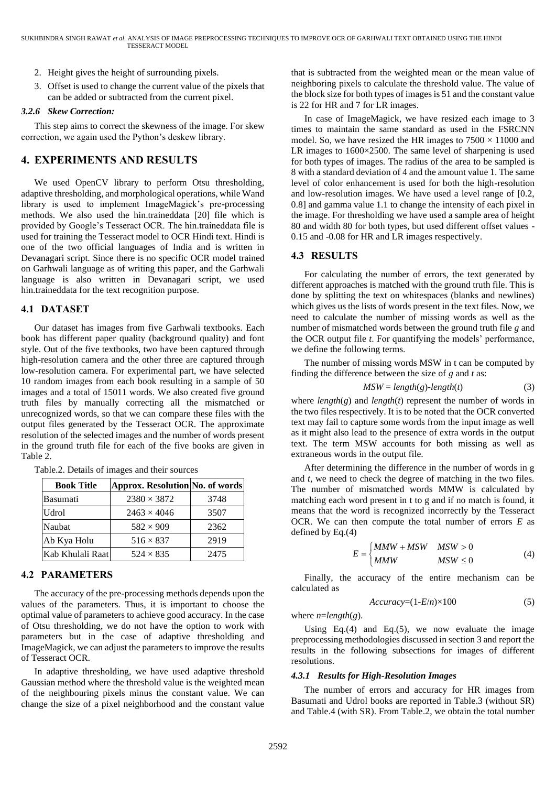- 2. Height gives the height of surrounding pixels.
- 3. Offset is used to change the current value of the pixels that can be added or subtracted from the current pixel.

#### *3.2.6 Skew Correction:*

This step aims to correct the skewness of the image. For skew correction, we again used the Python's deskew library.

# **4. EXPERIMENTS AND RESULTS**

We used OpenCV library to perform Otsu thresholding, adaptive thresholding, and morphological operations, while Wand library is used to implement ImageMagick's pre-processing methods. We also used the hin.traineddata [20] file which is provided by Google's Tesseract OCR. The hin.traineddata file is used for training the Tesseract model to OCR Hindi text. Hindi is one of the two official languages of India and is written in Devanagari script. Since there is no specific OCR model trained on Garhwali language as of writing this paper, and the Garhwali language is also written in Devanagari script, we used hin.traineddata for the text recognition purpose.

## **4.1 DATASET**

Our dataset has images from five Garhwali textbooks. Each book has different paper quality (background quality) and font style. Out of the five textbooks, two have been captured through high-resolution camera and the other three are captured through low-resolution camera. For experimental part, we have selected 10 random images from each book resulting in a sample of 50 images and a total of 15011 words. We also created five ground truth files by manually correcting all the mismatched or unrecognized words, so that we can compare these files with the output files generated by the Tesseract OCR. The approximate resolution of the selected images and the number of words present in the ground truth file for each of the five books are given in Table 2.

| <b>Book Title</b> | Approx. Resolution No. of words |      |
|-------------------|---------------------------------|------|
| Basumati          | $2380 \times 3872$              | 3748 |
| <b>Udrol</b>      | $2463 \times 4046$              | 3507 |
| Naubat            | $582 \times 909$                | 2362 |
| Ab Kya Holu       | $516 \times 837$                | 2919 |
| Kab Khulali Raat  | $524 \times 835$                | 2475 |

Table.2. Details of images and their sources

## **4.2 PARAMETERS**

The accuracy of the pre-processing methods depends upon the values of the parameters. Thus, it is important to choose the optimal value of parameters to achieve good accuracy. In the case of Otsu thresholding, we do not have the option to work with parameters but in the case of adaptive thresholding and ImageMagick, we can adjust the parameters to improve the results of Tesseract OCR.

In adaptive thresholding, we have used adaptive threshold Gaussian method where the threshold value is the weighted mean of the neighbouring pixels minus the constant value. We can change the size of a pixel neighborhood and the constant value

that is subtracted from the weighted mean or the mean value of neighboring pixels to calculate the threshold value. The value of the block size for both types of images is 51 and the constant value is 22 for HR and 7 for LR images.

In case of ImageMagick, we have resized each image to 3 times to maintain the same standard as used in the FSRCNN model. So, we have resized the HR images to  $7500 \times 11000$  and LR images to 1600×2500. The same level of sharpening is used for both types of images. The radius of the area to be sampled is 8 with a standard deviation of 4 and the amount value 1. The same level of color enhancement is used for both the high-resolution and low-resolution images. We have used a level range of [0.2, 0.8] and gamma value 1.1 to change the intensity of each pixel in the image. For thresholding we have used a sample area of height 80 and width 80 for both types, but used different offset values - 0.15 and -0.08 for HR and LR images respectively.

## **4.3 RESULTS**

For calculating the number of errors, the text generated by different approaches is matched with the ground truth file. This is done by splitting the text on whitespaces (blanks and newlines) which gives us the lists of words present in the text files. Now, we need to calculate the number of missing words as well as the number of mismatched words between the ground truth file *g* and the OCR output file *t*. For quantifying the models' performance, we define the following terms.

The number of missing words MSW in t can be computed by finding the difference between the size of *g* and *t* as:

$$
MSW = length(g)\text{-}length(t) \tag{3}
$$

where  $length(g)$  and  $length(t)$  represent the number of words in the two files respectively. It is to be noted that the OCR converted text may fail to capture some words from the input image as well as it might also lead to the presence of extra words in the output text. The term MSW accounts for both missing as well as extraneous words in the output file.

After determining the difference in the number of words in g and *t*, we need to check the degree of matching in the two files. The number of mismatched words MMW is calculated by matching each word present in t to g and if no match is found, it means that the word is recognized incorrectly by the Tesseract OCR. We can then compute the total number of errors *E* as defined by Eq.(4)

$$
E = \begin{cases} MMW + MSW & MSW > 0 \\ MMW & MSW \le 0 \end{cases}
$$
 (4)

Finally, the accuracy of the entire mechanism can be calculated as

$$
Accuracy=(1-E/n)\times100 \tag{5}
$$

where  $n = length(g)$ .

Using Eq.(4) and Eq.(5), we now evaluate the image preprocessing methodologies discussed in section 3 and report the results in the following subsections for images of different resolutions.

#### *4.3.1 Results for High-Resolution Images*

The number of errors and accuracy for HR images from Basumati and Udrol books are reported in Table.3 (without SR) and Table.4 (with SR). From Table.2, we obtain the total number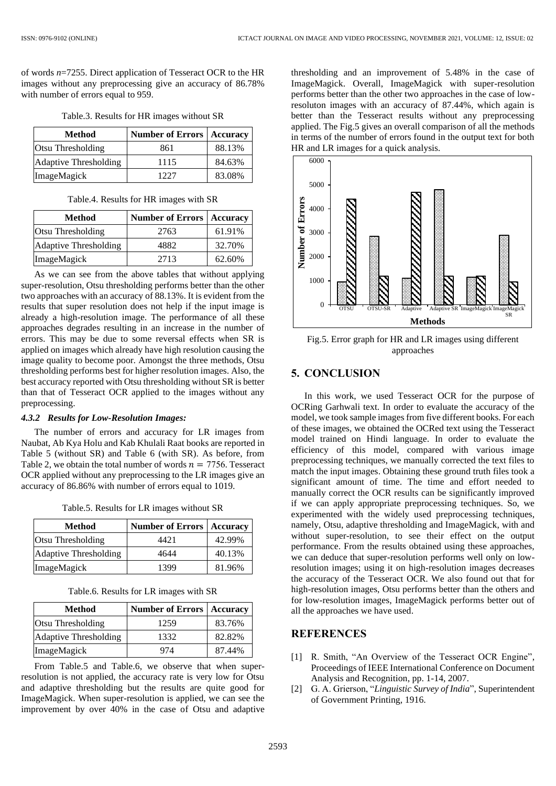of words *n*=7255. Direct application of Tesseract OCR to the HR images without any preprocessing give an accuracy of 86.78% with number of errors equal to 959.

| Table.3. Results for HR images without SR |  |  |  |
|-------------------------------------------|--|--|--|
|-------------------------------------------|--|--|--|

| <b>Method</b>            | Number of Errors   Accuracy |        |
|--------------------------|-----------------------------|--------|
| <b>Otsu Thresholding</b> | 861                         | 88.13% |
| Adaptive Thresholding    | 1115                        | 84.63% |
| ImageMagick              | 1227                        | 83.08% |

| Table.4. Results for HR images with SR |  |  |  |  |
|----------------------------------------|--|--|--|--|
|----------------------------------------|--|--|--|--|

| <b>Method</b>         | <b>Number of Errors</b> | <b>Accuracy</b> |
|-----------------------|-------------------------|-----------------|
| Otsu Thresholding     | 2763                    | 61.91%          |
| Adaptive Thresholding | 4882                    | 32.70%          |
| ImageMagick           | 2713                    | 62.60%          |

As we can see from the above tables that without applying super-resolution, Otsu thresholding performs better than the other two approaches with an accuracy of 88.13%. It is evident from the results that super resolution does not help if the input image is already a high-resolution image. The performance of all these approaches degrades resulting in an increase in the number of errors. This may be due to some reversal effects when SR is applied on images which already have high resolution causing the image quality to become poor. Amongst the three methods, Otsu thresholding performs best for higher resolution images. Also, the best accuracy reported with Otsu thresholding without SR is better than that of Tesseract OCR applied to the images without any preprocessing.

#### *4.3.2 Results for Low-Resolution Images:*

The number of errors and accuracy for LR images from Naubat, Ab Kya Holu and Kab Khulali Raat books are reported in Table 5 (without SR) and Table 6 (with SR). As before, from Table 2, we obtain the total number of words  $n = 7756$ . Tesseract OCR applied without any preprocessing to the LR images give an accuracy of 86.86% with number of errors equal to 1019.

|  | Table.5. Results for LR images without SR |  |  |  |  |  |
|--|-------------------------------------------|--|--|--|--|--|
|--|-------------------------------------------|--|--|--|--|--|

| <b>Method</b>         | <b>Number of Errors   Accuracy</b> |        |
|-----------------------|------------------------------------|--------|
| Otsu Thresholding     | 4421                               | 42.99% |
| Adaptive Thresholding | 4644                               | 40.13% |
| ImageMagick           | 1399                               | 81.96% |

| Method                   | <b>Number of Errors</b> | <b>Accuracy</b> |
|--------------------------|-------------------------|-----------------|
| <b>Otsu Thresholding</b> | 1259                    | 83.76%          |
| Adaptive Thresholding    | 1332                    | 82.82%          |
| ImageMagick              | 974                     | 87.44%          |

From Table.5 and Table.6, we observe that when superresolution is not applied, the accuracy rate is very low for Otsu and adaptive thresholding but the results are quite good for ImageMagick. When super-resolution is applied, we can see the improvement by over 40% in the case of Otsu and adaptive thresholding and an improvement of 5.48% in the case of ImageMagick. Overall, ImageMagick with super-resolution performs better than the other two approaches in the case of lowresoluton images with an accuracy of 87.44%, which again is better than the Tesseract results without any preprocessing applied. The Fig.5 gives an overall comparison of all the methods in terms of the number of errors found in the output text for both HR and LR images for a quick analysis.



Fig.5. Error graph for HR and LR images using different approaches

# **5. CONCLUSION**

In this work, we used Tesseract OCR for the purpose of OCRing Garhwali text. In order to evaluate the accuracy of the model, we took sample images from five different books. For each of these images, we obtained the OCRed text using the Tesseract model trained on Hindi language. In order to evaluate the efficiency of this model, compared with various image preprocessing techniques, we manually corrected the text files to match the input images. Obtaining these ground truth files took a significant amount of time. The time and effort needed to manually correct the OCR results can be significantly improved if we can apply appropriate preprocessing techniques. So, we experimented with the widely used preprocessing techniques, namely, Otsu, adaptive thresholding and ImageMagick, with and without super-resolution, to see their effect on the output performance. From the results obtained using these approaches, we can deduce that super-resolution performs well only on lowresolution images; using it on high-resolution images decreases the accuracy of the Tesseract OCR. We also found out that for high-resolution images, Otsu performs better than the others and for low-resolution images, ImageMagick performs better out of all the approaches we have used.

### **REFERENCES**

- [1] R. Smith, "An Overview of the Tesseract OCR Engine", Proceedings of IEEE International Conference on Document Analysis and Recognition, pp. 1-14, 2007.
- [2] G. A. Grierson, "*Linguistic Survey of India*", Superintendent of Government Printing, 1916.